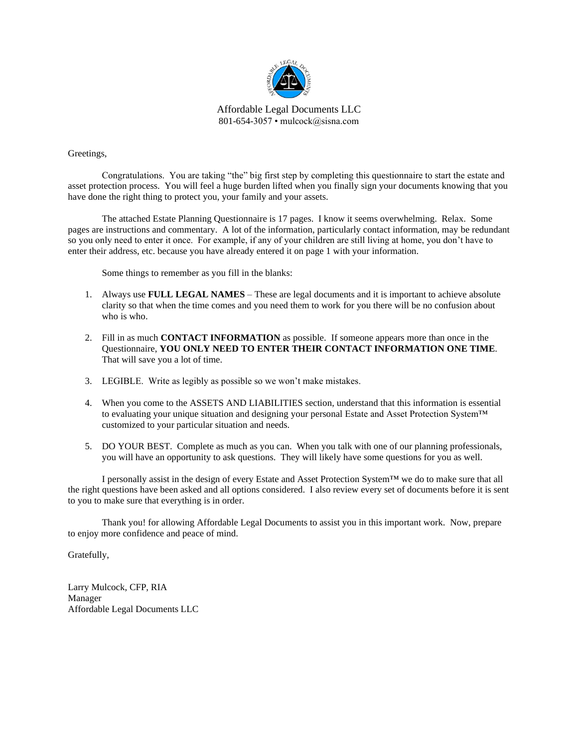

Affordable Legal Documents LLC 801-654-3057 • mulcock@sisna.com

Greetings,

Congratulations. You are taking "the" big first step by completing this questionnaire to start the estate and asset protection process. You will feel a huge burden lifted when you finally sign your documents knowing that you have done the right thing to protect you, your family and your assets.

The attached Estate Planning Questionnaire is 17 pages. I know it seems overwhelming. Relax. Some pages are instructions and commentary. A lot of the information, particularly contact information, may be redundant so you only need to enter it once. For example, if any of your children are still living at home, you don't have to enter their address, etc. because you have already entered it on page 1 with your information.

Some things to remember as you fill in the blanks:

- 1. Always use **FULL LEGAL NAMES** These are legal documents and it is important to achieve absolute clarity so that when the time comes and you need them to work for you there will be no confusion about who is who.
- 2. Fill in as much **CONTACT INFORMATION** as possible. If someone appears more than once in the Questionnaire, **YOU ONLY NEED TO ENTER THEIR CONTACT INFORMATION ONE TIME**. That will save you a lot of time.
- 3. LEGIBLE. Write as legibly as possible so we won't make mistakes.
- 4. When you come to the ASSETS AND LIABILITIES section, understand that this information is essential to evaluating your unique situation and designing your personal Estate and Asset Protection System™ customized to your particular situation and needs.
- 5. DO YOUR BEST. Complete as much as you can. When you talk with one of our planning professionals, you will have an opportunity to ask questions. They will likely have some questions for you as well.

I personally assist in the design of every Estate and Asset Protection System™ we do to make sure that all the right questions have been asked and all options considered. I also review every set of documents before it is sent to you to make sure that everything is in order.

Thank you! for allowing Affordable Legal Documents to assist you in this important work. Now, prepare to enjoy more confidence and peace of mind.

Gratefully,

Larry Mulcock, CFP, RIA Manager Affordable Legal Documents LLC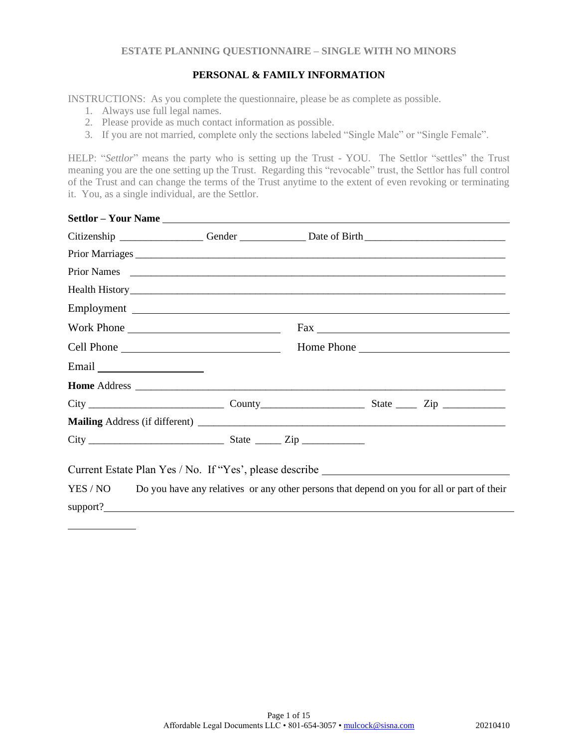## **PERSONAL & FAMILY INFORMATION**

INSTRUCTIONS: As you complete the questionnaire, please be as complete as possible.

- 1. Always use full legal names.
- 2. Please provide as much contact information as possible.
- 3. If you are not married, complete only the sections labeled "Single Male" or "Single Female".

HELP: "Settlor" means the party who is setting up the Trust - YOU. The Settlor "settles" the Trust meaning you are the one setting up the Trust. Regarding this "revocable" trust, the Settlor has full control of the Trust and can change the terms of the Trust anytime to the extent of even revoking or terminating it. You, as a single individual, are the Settlor.

| Citizenship __________________Gender ________________Date of Birth _________________________________                                                                                                                          |  |                                                                                            |
|-------------------------------------------------------------------------------------------------------------------------------------------------------------------------------------------------------------------------------|--|--------------------------------------------------------------------------------------------|
|                                                                                                                                                                                                                               |  |                                                                                            |
| Prior Names 2016. Experience and the contract of the contract of the contract of the contract of the contract of the contract of the contract of the contract of the contract of the contract of the contract of the contract |  |                                                                                            |
|                                                                                                                                                                                                                               |  |                                                                                            |
| Employment                                                                                                                                                                                                                    |  |                                                                                            |
| Work Phone                                                                                                                                                                                                                    |  |                                                                                            |
|                                                                                                                                                                                                                               |  | Home Phone                                                                                 |
| Email                                                                                                                                                                                                                         |  |                                                                                            |
|                                                                                                                                                                                                                               |  |                                                                                            |
|                                                                                                                                                                                                                               |  |                                                                                            |
|                                                                                                                                                                                                                               |  |                                                                                            |
|                                                                                                                                                                                                                               |  |                                                                                            |
| Current Estate Plan Yes / No. If "Yes', please describe _________________________                                                                                                                                             |  |                                                                                            |
| YES / NO<br>support?                                                                                                                                                                                                          |  | Do you have any relatives or any other persons that depend on you for all or part of their |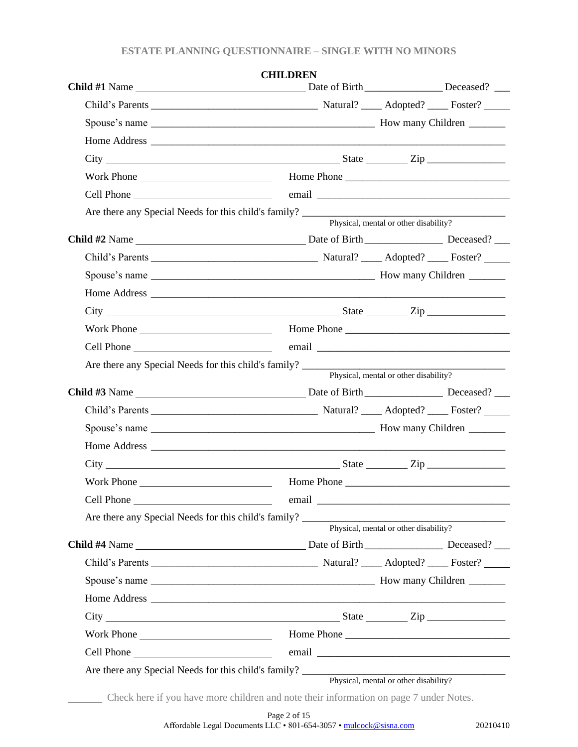| <b>CHILDREN</b>             |                                       |  |
|-----------------------------|---------------------------------------|--|
|                             |                                       |  |
|                             |                                       |  |
|                             |                                       |  |
| $City$ $City$ $Step$ $Line$ |                                       |  |
|                             |                                       |  |
|                             |                                       |  |
|                             | Physical, mental or other disability? |  |
|                             |                                       |  |
|                             |                                       |  |
|                             |                                       |  |
|                             |                                       |  |
|                             |                                       |  |
|                             |                                       |  |
|                             |                                       |  |
|                             |                                       |  |
|                             |                                       |  |
|                             | Physical, mental or other disability? |  |
|                             |                                       |  |
|                             |                                       |  |
|                             |                                       |  |
|                             |                                       |  |
| $City$ $City$ $Step$ $Line$ |                                       |  |
|                             |                                       |  |
|                             |                                       |  |
|                             |                                       |  |
|                             | Physical, mental or other disability? |  |
|                             |                                       |  |
|                             |                                       |  |
|                             |                                       |  |
|                             |                                       |  |
|                             |                                       |  |
|                             |                                       |  |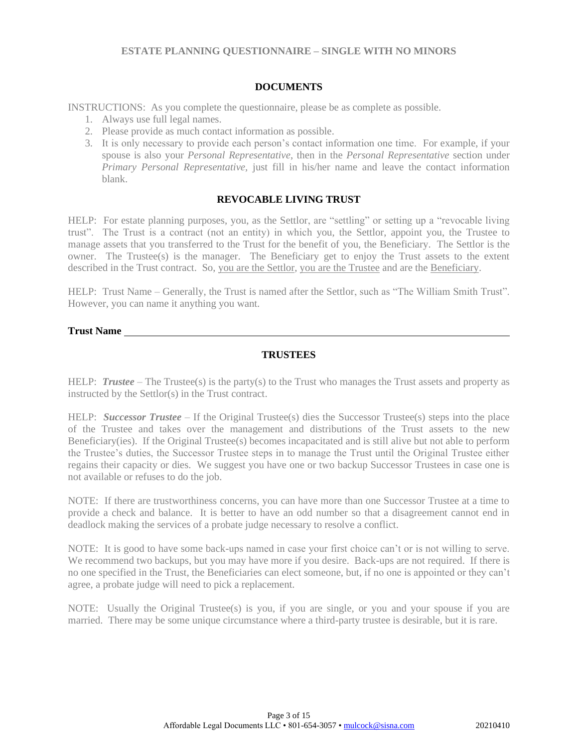### **DOCUMENTS**

INSTRUCTIONS: As you complete the questionnaire, please be as complete as possible.

- 1. Always use full legal names.
- 2. Please provide as much contact information as possible.
- 3. It is only necessary to provide each person's contact information one time. For example, if your spouse is also your *Personal Representative*, then in the *Personal Representative* section under *Primary Personal Representative,* just fill in his/her name and leave the contact information blank.

### **REVOCABLE LIVING TRUST**

HELP: For estate planning purposes, you, as the Settlor, are "settling" or setting up a "revocable living trust". The Trust is a contract (not an entity) in which you, the Settlor, appoint you, the Trustee to manage assets that you transferred to the Trust for the benefit of you, the Beneficiary. The Settlor is the owner. The Trustee(s) is the manager. The Beneficiary get to enjoy the Trust assets to the extent described in the Trust contract. So, you are the Settlor, you are the Trustee and are the Beneficiary.

HELP: Trust Name – Generally, the Trust is named after the Settlor, such as "The William Smith Trust". However, you can name it anything you want.

#### **Trust Name**

## **TRUSTEES**

HELP: **Trustee** – The Trustee(s) is the party(s) to the Trust who manages the Trust assets and property as instructed by the Settlor(s) in the Trust contract.

HELP: *Successor Trustee* – If the Original Trustee(s) dies the Successor Trustee(s) steps into the place of the Trustee and takes over the management and distributions of the Trust assets to the new Beneficiary(ies). If the Original Trustee(s) becomes incapacitated and is still alive but not able to perform the Trustee's duties, the Successor Trustee steps in to manage the Trust until the Original Trustee either regains their capacity or dies. We suggest you have one or two backup Successor Trustees in case one is not available or refuses to do the job.

NOTE: If there are trustworthiness concerns, you can have more than one Successor Trustee at a time to provide a check and balance. It is better to have an odd number so that a disagreement cannot end in deadlock making the services of a probate judge necessary to resolve a conflict.

NOTE: It is good to have some back-ups named in case your first choice can't or is not willing to serve. We recommend two backups, but you may have more if you desire. Back-ups are not required. If there is no one specified in the Trust, the Beneficiaries can elect someone, but, if no one is appointed or they can't agree, a probate judge will need to pick a replacement.

NOTE: Usually the Original Trustee(s) is you, if you are single, or you and your spouse if you are married. There may be some unique circumstance where a third-party trustee is desirable, but it is rare.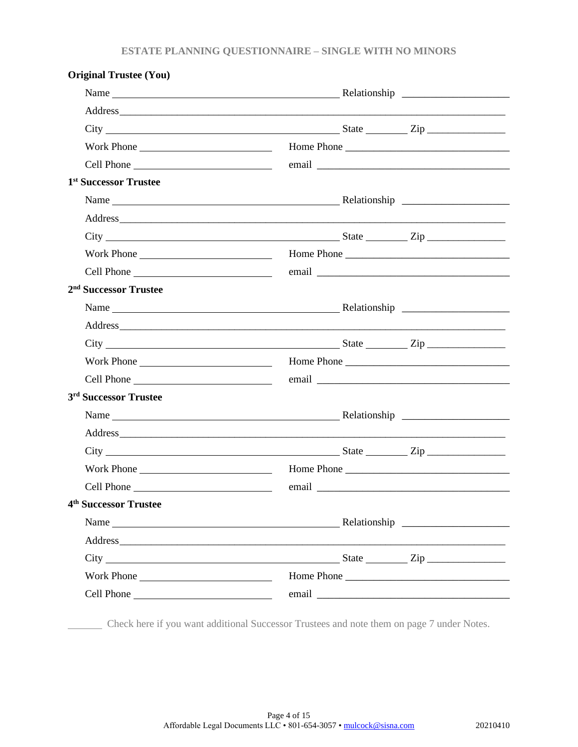|  | Name | $City$ $City$ $Step$ $Type$<br>$City$ $City$ $Step$ $Zip$<br>$City$ $City$ $Zip$<br>email email and the contract of the contract of the contract of the contract of the contract of the contract of the contract of the contract of the contract of the contract of the contract of the contract of the contract o<br>$\text{City}$ $\text{City}$<br>Home Phone<br>email email and the same state of the same state of the same state of the same state of the same state of the |
|--|------|----------------------------------------------------------------------------------------------------------------------------------------------------------------------------------------------------------------------------------------------------------------------------------------------------------------------------------------------------------------------------------------------------------------------------------------------------------------------------------|

Check here if you want additional Successor Trustees and note them on page 7 under Notes.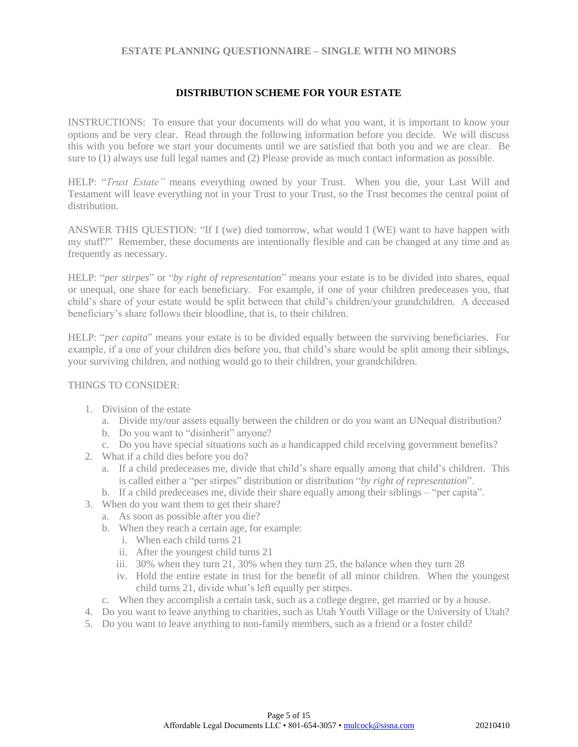### **DISTRIBUTION SCHEME FOR YOUR ESTATE**

INSTRUCTIONS: To ensure that your documents will do what you want, it is important to know your options and be very clear. Read through the following information before you decide. We will discuss this with you before we start your documents until we are satisfied that both you and we are clear. Be sure to (1) always use full legal names and (2) Please provide as much contact information as possible.

HELP: "*Trust Estate"* means everything owned by your Trust. When you die, your Last Will and Testament will leave everything not in your Trust to your Trust, so the Trust becomes the central point of distribution.

ANSWER THIS QUESTION: "If I (we) died tomorrow, what would I (WE) want to have happen with my stuff?" Remember, these documents are intentionally flexible and can be changed at any time and as frequently as necessary.

HELP: "*per stirpes*" or "*by right of representation*" means your estate is to be divided into shares, equal or unequal, one share for each beneficiary. For example, if one of your children predeceases you, that child's share of your estate would be split between that child's children/your grandchildren. A deceased beneficiary's share follows their bloodline, that is, to their children.

HELP: "*per capita*" means your estate is to be divided equally between the surviving beneficiaries. For example, if a one of your children dies before you, that child's share would be split among their siblings, your surviving children, and nothing would go to their children, your grandchildren.

## THINGS TO CONSIDER:

- 1. Division of the estate
	- a. Divide my/our assets equally between the children or do you want an UNequal distribution?
	- b. Do you want to "disinherit" anyone?
	- c. Do you have special situations such as a handicapped child receiving government benefits?
- 2. What if a child dies before you do?
	- a. If a child predeceases me, divide that child's share equally among that child's children. This is called either a "per stirpes" distribution or distribution "*by right of representation*".
	- b. If a child predeceases me, divide their share equally among their siblings "per capita".
- 3. When do you want them to get their share?
	- a. As soon as possible after you die?
	- b. When they reach a certain age, for example:
		- i. When each child turns 21
		- ii. After the youngest child turns 21
		- iii. 30% when they turn 21, 30% when they turn 25, the balance when they turn 28
		- iv. Hold the entire estate in trust for the benefit of all minor children. When the youngest child turns 21, divide what's left equally per stirpes.
	- c. When they accomplish a certain task, such as a college degree, get married or by a house.
- 4. Do you want to leave anything to charities, such as Utah Youth Village or the University of Utah?
- 5. Do you want to leave anything to non-family members, such as a friend or a foster child?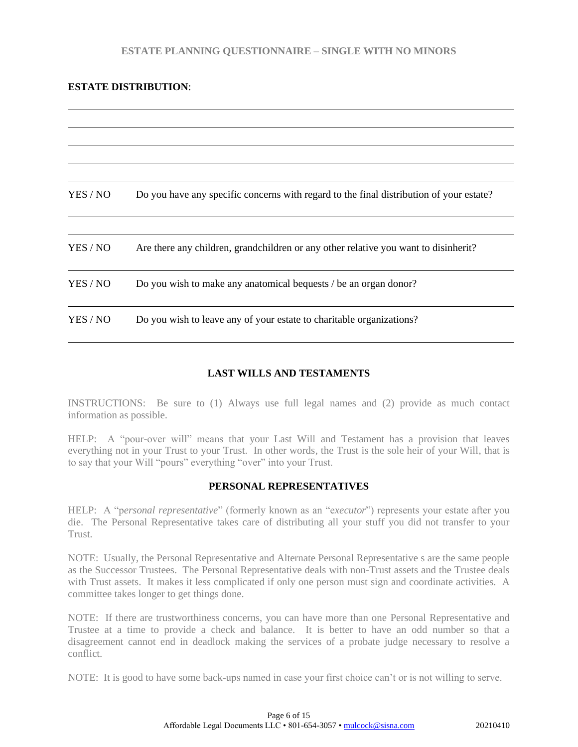## **ESTATE DISTRIBUTION**:

| YES / NO | Do you have any specific concerns with regard to the final distribution of your estate? |
|----------|-----------------------------------------------------------------------------------------|
|          |                                                                                         |
| YES / NO | Are there any children, grandchildren or any other relative you want to disinherit?     |
| YES / NO | Do you wish to make any anatomical bequests / be an organ donor?                        |
| YES / NO | Do you wish to leave any of your estate to charitable organizations?                    |

# **LAST WILLS AND TESTAMENTS**

INSTRUCTIONS: Be sure to (1) Always use full legal names and (2) provide as much contact information as possible.

HELP: A "pour-over will" means that your Last Will and Testament has a provision that leaves everything not in your Trust to your Trust. In other words, the Trust is the sole heir of your Will, that is to say that your Will "pours" everything "over" into your Trust.

### **PERSONAL REPRESENTATIVES**

HELP: A "p*ersonal representative*" (formerly known as an "e*xecutor*") represents your estate after you die. The Personal Representative takes care of distributing all your stuff you did not transfer to your Trust.

NOTE: Usually, the Personal Representative and Alternate Personal Representative s are the same people as the Successor Trustees. The Personal Representative deals with non-Trust assets and the Trustee deals with Trust assets. It makes it less complicated if only one person must sign and coordinate activities. A committee takes longer to get things done.

NOTE: If there are trustworthiness concerns, you can have more than one Personal Representative and Trustee at a time to provide a check and balance. It is better to have an odd number so that a disagreement cannot end in deadlock making the services of a probate judge necessary to resolve a conflict.

NOTE: It is good to have some back-ups named in case your first choice can't or is not willing to serve.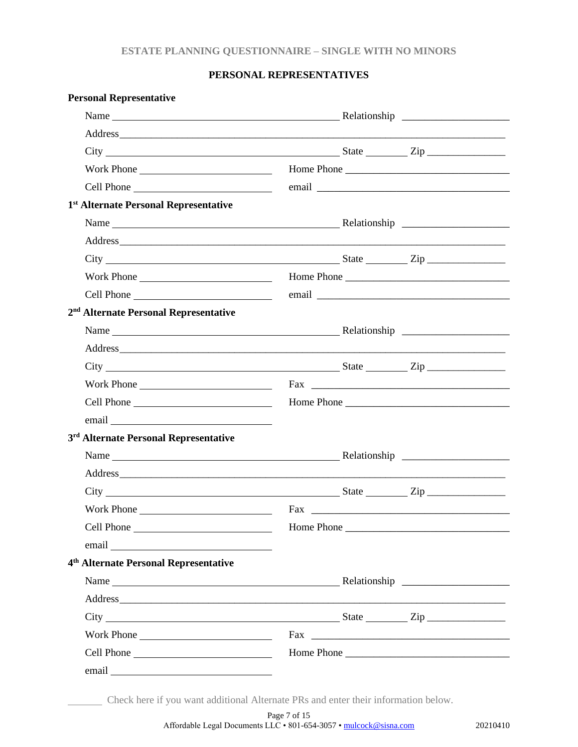## **PERSONAL REPRESENTATIVES**

| <b>Personal Representative</b>                    |     |            |  |
|---------------------------------------------------|-----|------------|--|
|                                                   |     |            |  |
|                                                   |     |            |  |
| $City$ $City$ $Step$ $Line$                       |     |            |  |
|                                                   |     |            |  |
|                                                   |     |            |  |
| 1 <sup>st</sup> Alternate Personal Representative |     |            |  |
|                                                   |     |            |  |
|                                                   |     |            |  |
| $\text{City}$ $\frac{\text{City}}{\text{City}}$   |     |            |  |
|                                                   |     |            |  |
|                                                   |     |            |  |
| 2 <sup>nd</sup> Alternate Personal Representative |     |            |  |
| Name Relationship Relationship                    |     |            |  |
|                                                   |     |            |  |
| $City$ $City$ $Step$ $Line$                       |     |            |  |
|                                                   |     |            |  |
|                                                   |     |            |  |
| email <u>expression</u>                           |     |            |  |
| 3 <sup>rd</sup> Alternate Personal Representative |     |            |  |
|                                                   |     |            |  |
|                                                   |     |            |  |
|                                                   |     |            |  |
| <b>Work Phone</b>                                 | Fax |            |  |
|                                                   |     | Home Phone |  |
|                                                   |     |            |  |
| 4 <sup>th</sup> Alternate Personal Representative |     |            |  |
|                                                   |     |            |  |
|                                                   |     |            |  |
| $City$ $City$ $Zip$                               |     |            |  |
| Work Phone                                        |     |            |  |
|                                                   |     |            |  |
|                                                   |     |            |  |
|                                                   |     |            |  |

Check here if you want additional Alternate PRs and enter their information below.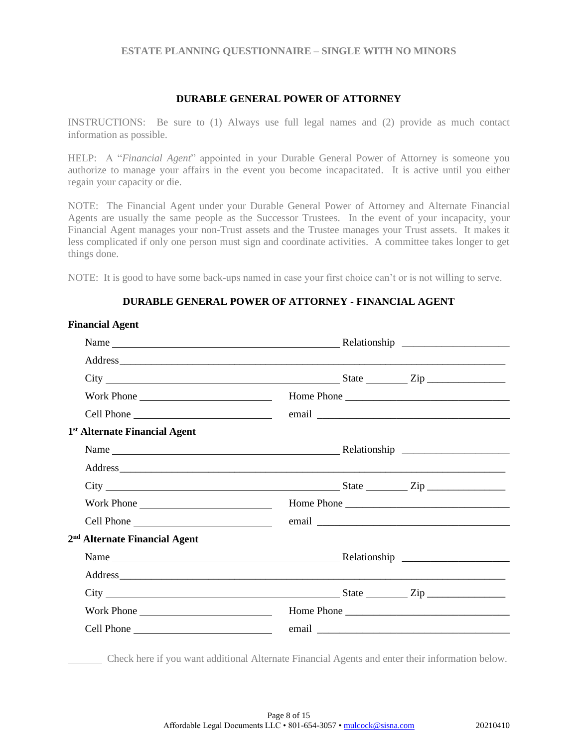## **DURABLE GENERAL POWER OF ATTORNEY**

INSTRUCTIONS: Be sure to (1) Always use full legal names and (2) provide as much contact information as possible.

HELP: A "*Financial Agent*" appointed in your Durable General Power of Attorney is someone you authorize to manage your affairs in the event you become incapacitated. It is active until you either regain your capacity or die.

NOTE: The Financial Agent under your Durable General Power of Attorney and Alternate Financial Agents are usually the same people as the Successor Trustees. In the event of your incapacity, your Financial Agent manages your non-Trust assets and the Trustee manages your Trust assets. It makes it less complicated if only one person must sign and coordinate activities. A committee takes longer to get things done.

NOTE: It is good to have some back-ups named in case your first choice can't or is not willing to serve.

## **DURABLE GENERAL POWER OF ATTORNEY - FINANCIAL AGENT**

| <b>Financial Agent</b>                    |                                                                                                                                                                                                                                                                                                                                                |  |
|-------------------------------------------|------------------------------------------------------------------------------------------------------------------------------------------------------------------------------------------------------------------------------------------------------------------------------------------------------------------------------------------------|--|
|                                           |                                                                                                                                                                                                                                                                                                                                                |  |
|                                           |                                                                                                                                                                                                                                                                                                                                                |  |
|                                           | $City$ $\rule{1em}{0.15mm}$ $\rule{1em}{0.15mm}$ $\qquad \qquad$ $\qquad \qquad$ $\qquad \qquad$ $Step$ $\rule{1em}{0.15mm}$ $\qquad \qquad \qquad$ $\qquad \qquad$                                                                                                                                                                            |  |
| Work Phone                                | Home Phone                                                                                                                                                                                                                                                                                                                                     |  |
|                                           |                                                                                                                                                                                                                                                                                                                                                |  |
| 1 <sup>st</sup> Alternate Financial Agent |                                                                                                                                                                                                                                                                                                                                                |  |
|                                           |                                                                                                                                                                                                                                                                                                                                                |  |
|                                           |                                                                                                                                                                                                                                                                                                                                                |  |
|                                           | $City$ $\rule{0.1cm}{0.1cm}$ $\rule{0.1cm}{0.1cm}$ $\qquad \qquad \text{State}$ $\rule{0.1cm}{0.1cm}$ $\qquad \qquad \text{City}$ $\rule{0.1cm}{0.1cm}$ $\rule{0.1cm}{0.1cm}$ $\rule{0.1cm}{0.1cm}$ $\rule{0.1cm}{0.1cm}$ $\qquad \qquad \text{State}$ $\rule{0.1cm}{0.1cm}$ $\rule{0.1cm}{0.1cm}$ $\rule{0.1cm}{0.1cm}$ $\rule{0.1cm}{0.1cm}$ |  |
| Work Phone                                |                                                                                                                                                                                                                                                                                                                                                |  |
|                                           | email email and the same state of the same state of the same state of the same state of the same state of the                                                                                                                                                                                                                                  |  |
| 2 <sup>nd</sup> Alternate Financial Agent |                                                                                                                                                                                                                                                                                                                                                |  |
|                                           |                                                                                                                                                                                                                                                                                                                                                |  |
|                                           |                                                                                                                                                                                                                                                                                                                                                |  |
|                                           | $City$ $City$ $Zip$                                                                                                                                                                                                                                                                                                                            |  |
| Work Phone                                | Home Phone                                                                                                                                                                                                                                                                                                                                     |  |
|                                           |                                                                                                                                                                                                                                                                                                                                                |  |
|                                           |                                                                                                                                                                                                                                                                                                                                                |  |

Check here if you want additional Alternate Financial Agents and enter their information below.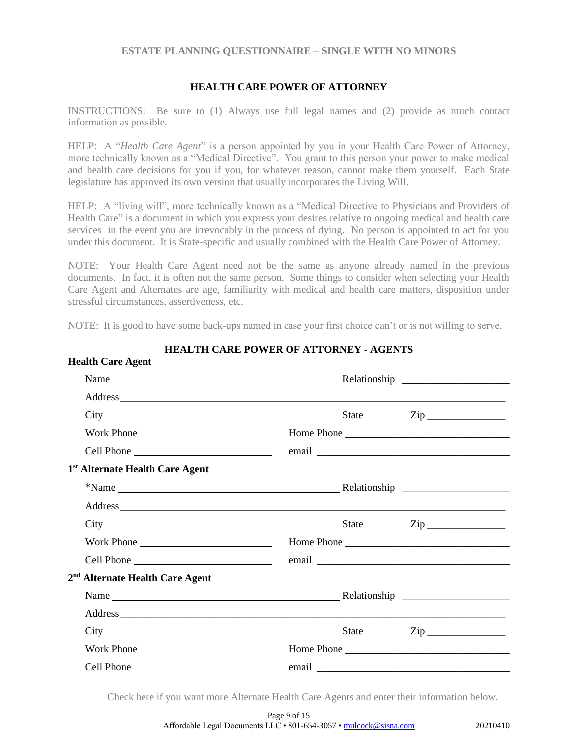### **HEALTH CARE POWER OF ATTORNEY**

INSTRUCTIONS: Be sure to (1) Always use full legal names and (2) provide as much contact information as possible.

HELP: A "*Health Care Agent*" is a person appointed by you in your Health Care Power of Attorney, more technically known as a "Medical Directive". You grant to this person your power to make medical and health care decisions for you if you, for whatever reason, cannot make them yourself. Each State legislature has approved its own version that usually incorporates the Living Will.

HELP: A "living will", more technically known as a "Medical Directive to Physicians and Providers of Health Care" is a document in which you express your desires relative to ongoing medical and health care services in the event you are irrevocably in the process of dying. No person is appointed to act for you under this document. It is State-specific and usually combined with the Health Care Power of Attorney.

NOTE: Your Health Care Agent need not be the same as anyone already named in the previous documents. In fact, it is often not the same person. Some things to consider when selecting your Health Care Agent and Alternates are age, familiarity with medical and health care matters, disposition under stressful circumstances, assertiveness, etc.

NOTE: It is good to have some back-ups named in case your first choice can't or is not willing to serve.

**Health Care Agent**

| manın yarı Ağun                                                                                                                                                                                                                                       |  |            |  |
|-------------------------------------------------------------------------------------------------------------------------------------------------------------------------------------------------------------------------------------------------------|--|------------|--|
|                                                                                                                                                                                                                                                       |  |            |  |
|                                                                                                                                                                                                                                                       |  |            |  |
| $City$ $\rule{0.1cm}{0.1cm}$ $\rule{0.1cm}{0.1cm}$ $\qquad \qquad \text{State}$ $\rule{0.1cm}{0.1cm}$ $\qquad \qquad \text{City}$ $\rule{0.1cm}{0.1cm}$ $\rule{0.1cm}{0.1cm}$ $\rule{0.1cm}{0.1cm}$ $\rule{0.1cm}{0.1cm}$ $\qquad \qquad \text{City}$ |  |            |  |
| Work Phone                                                                                                                                                                                                                                            |  |            |  |
|                                                                                                                                                                                                                                                       |  |            |  |
| 1 <sup>st</sup> Alternate Health Care Agent                                                                                                                                                                                                           |  |            |  |
|                                                                                                                                                                                                                                                       |  |            |  |
|                                                                                                                                                                                                                                                       |  |            |  |
| $\text{City}$ $\frac{\text{City}}{\text{List}}$                                                                                                                                                                                                       |  |            |  |
| Work Phone                                                                                                                                                                                                                                            |  | Home Phone |  |
|                                                                                                                                                                                                                                                       |  |            |  |
| 2 <sup>nd</sup> Alternate Health Care Agent                                                                                                                                                                                                           |  |            |  |
|                                                                                                                                                                                                                                                       |  |            |  |
|                                                                                                                                                                                                                                                       |  |            |  |
| $City$ $\rule{1em}{0.15mm}$ $\qquad \qquad \text{State}$ $\rule{1em}{0.15mm}$ $\qquad \qquad \text{Step}$ $\rule{1em}{0.15mm}$                                                                                                                        |  |            |  |
|                                                                                                                                                                                                                                                       |  | Home Phone |  |
|                                                                                                                                                                                                                                                       |  |            |  |
|                                                                                                                                                                                                                                                       |  |            |  |

## **HEALTH CARE POWER OF ATTORNEY - AGENTS**

Check here if you want more Alternate Health Care Agents and enter their information below.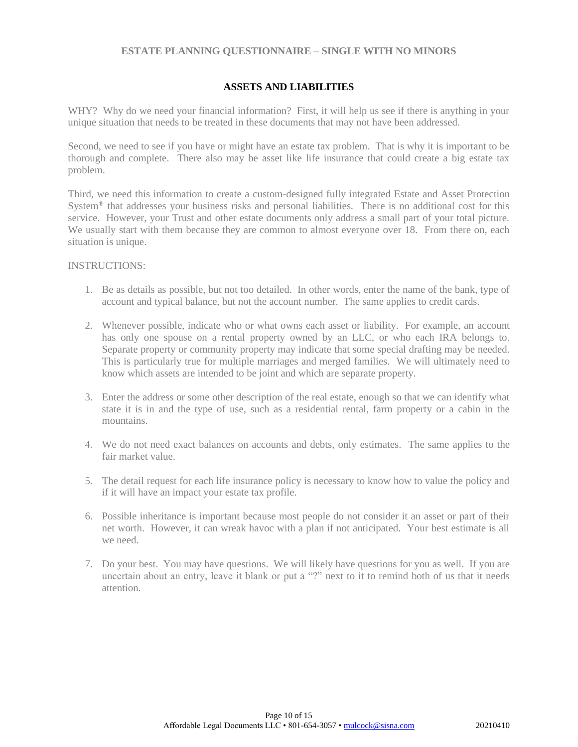## **ASSETS AND LIABILITIES**

WHY? Why do we need your financial information? First, it will help us see if there is anything in your unique situation that needs to be treated in these documents that may not have been addressed.

Second, we need to see if you have or might have an estate tax problem. That is why it is important to be thorough and complete. There also may be asset like life insurance that could create a big estate tax problem.

Third, we need this information to create a custom-designed fully integrated Estate and Asset Protection System® that addresses your business risks and personal liabilities. There is no additional cost for this service. However, your Trust and other estate documents only address a small part of your total picture. We usually start with them because they are common to almost everyone over 18. From there on, each situation is unique.

#### INSTRUCTIONS:

- 1. Be as details as possible, but not too detailed. In other words, enter the name of the bank, type of account and typical balance, but not the account number. The same applies to credit cards.
- 2. Whenever possible, indicate who or what owns each asset or liability. For example, an account has only one spouse on a rental property owned by an LLC, or who each IRA belongs to. Separate property or community property may indicate that some special drafting may be needed. This is particularly true for multiple marriages and merged families. We will ultimately need to know which assets are intended to be joint and which are separate property.
- 3. Enter the address or some other description of the real estate, enough so that we can identify what state it is in and the type of use, such as a residential rental, farm property or a cabin in the mountains.
- 4. We do not need exact balances on accounts and debts, only estimates. The same applies to the fair market value.
- 5. The detail request for each life insurance policy is necessary to know how to value the policy and if it will have an impact your estate tax profile.
- 6. Possible inheritance is important because most people do not consider it an asset or part of their net worth. However, it can wreak havoc with a plan if not anticipated. Your best estimate is all we need.
- 7. Do your best. You may have questions. We will likely have questions for you as well. If you are uncertain about an entry, leave it blank or put a "?" next to it to remind both of us that it needs attention.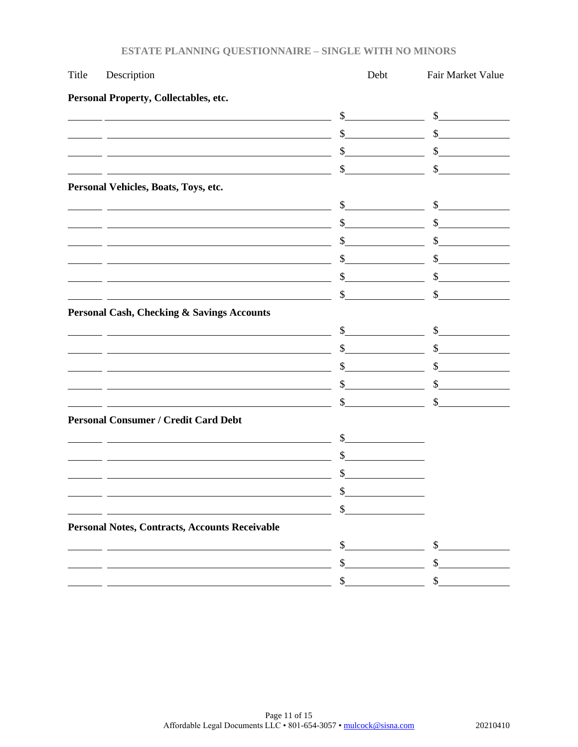| Title | Description                                                                                                           | Debt           | Fair Market Value                                                                                                           |
|-------|-----------------------------------------------------------------------------------------------------------------------|----------------|-----------------------------------------------------------------------------------------------------------------------------|
|       | Personal Property, Collectables, etc.                                                                                 |                |                                                                                                                             |
|       |                                                                                                                       | $\frac{1}{2}$  | $\frac{\text{S}}{\text{S}}$                                                                                                 |
|       |                                                                                                                       | \$             | $\sim$                                                                                                                      |
|       | <u> 1980 - Johann Barn, mars eta bainar eta baina eta baina eta baina eta baina eta baina eta baina eta baina e</u>   | \$             | \$                                                                                                                          |
|       | <u> 1988 - Andrea Andrew Maria (h. 1988).</u>                                                                         | \$             | \$                                                                                                                          |
|       | Personal Vehicles, Boats, Toys, etc.                                                                                  |                |                                                                                                                             |
|       |                                                                                                                       | $\sim$         | $\frac{1}{2}$                                                                                                               |
|       | <u> 1980 - Johann Barn, mars ann an t-Amhain Aonaichte ann an t-Amhain Aonaichte ann an t-Amhain Aonaichte ann an</u> | \$             | $\frac{1}{\sqrt{2}}$                                                                                                        |
|       |                                                                                                                       | \$             | \$<br><u> 1990 - Johann Barnett, politik e</u>                                                                              |
|       | <u> 1980 - Johann Barn, mars ann an t-Amhain Aonaichte ann an t-Aonaichte ann an t-Aonaichte ann an t-Aonaichte a</u> | \$             | \$<br><u> Communication</u>                                                                                                 |
|       |                                                                                                                       | \$             | \$                                                                                                                          |
|       |                                                                                                                       | \$             | \$                                                                                                                          |
|       | <b>Personal Cash, Checking &amp; Savings Accounts</b>                                                                 |                |                                                                                                                             |
|       |                                                                                                                       | $\sim$         | $\frac{1}{2}$                                                                                                               |
|       | <u> 1980 - Johann Barn, mars ann an t-Amhain Aonaichte ann an t-Aonaichte ann an t-Aonaichte ann an t-Aonaichte a</u> | $\mathbb{S}^-$ | $\sim$ $\sim$                                                                                                               |
|       |                                                                                                                       | \$             | \$<br><u> a shekara ta 1999 a shekara ta 1991 a shekara ta 1991 a shekara ta 1991 a shekara ta 1991 a shekara ta 1991 a</u> |
|       |                                                                                                                       | \$             | \$                                                                                                                          |
|       |                                                                                                                       | \$             | \$                                                                                                                          |
|       | <b>Personal Consumer / Credit Card Debt</b>                                                                           |                |                                                                                                                             |
|       |                                                                                                                       | $\frac{1}{2}$  |                                                                                                                             |
|       | <u> 1989 - Johann Stoff, Amerikaansk politiker († 1908)</u>                                                           | \$             |                                                                                                                             |
|       |                                                                                                                       |                |                                                                                                                             |
|       |                                                                                                                       | ¢              |                                                                                                                             |
|       |                                                                                                                       | \$             |                                                                                                                             |
|       | <b>Personal Notes, Contracts, Accounts Receivable</b>                                                                 |                |                                                                                                                             |
|       |                                                                                                                       | \$             | \$                                                                                                                          |
|       |                                                                                                                       | \$             | \$                                                                                                                          |
|       |                                                                                                                       |                | \$                                                                                                                          |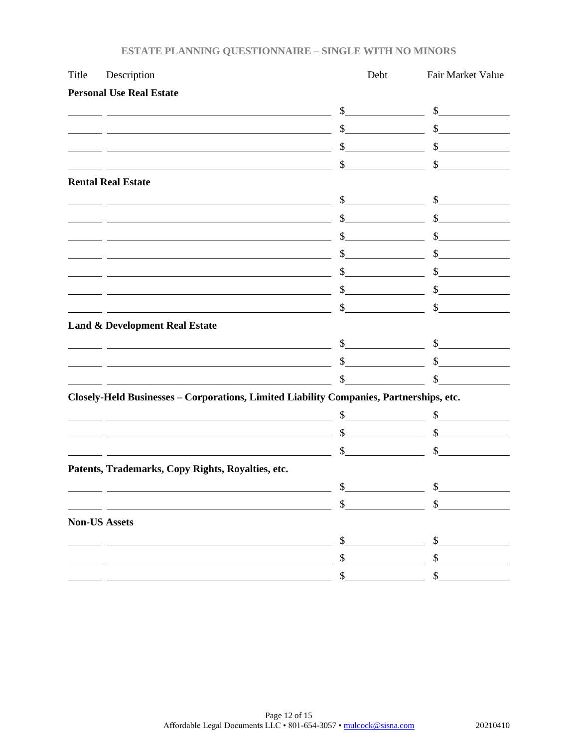| Description                                       | Debt          | Fair Market Value                                                                                                                                                                                                                                                                                                                                                                                                                                                                                                                                                                                                                                                                                                                                                                                                                                                                                                                                                                                                                                                                                                                                   |
|---------------------------------------------------|---------------|-----------------------------------------------------------------------------------------------------------------------------------------------------------------------------------------------------------------------------------------------------------------------------------------------------------------------------------------------------------------------------------------------------------------------------------------------------------------------------------------------------------------------------------------------------------------------------------------------------------------------------------------------------------------------------------------------------------------------------------------------------------------------------------------------------------------------------------------------------------------------------------------------------------------------------------------------------------------------------------------------------------------------------------------------------------------------------------------------------------------------------------------------------|
| <b>Personal Use Real Estate</b>                   |               |                                                                                                                                                                                                                                                                                                                                                                                                                                                                                                                                                                                                                                                                                                                                                                                                                                                                                                                                                                                                                                                                                                                                                     |
|                                                   |               | $\frac{\text{S}}{\text{S}}$                                                                                                                                                                                                                                                                                                                                                                                                                                                                                                                                                                                                                                                                                                                                                                                                                                                                                                                                                                                                                                                                                                                         |
|                                                   | $\mathcal{S}$ | $\sim$                                                                                                                                                                                                                                                                                                                                                                                                                                                                                                                                                                                                                                                                                                                                                                                                                                                                                                                                                                                                                                                                                                                                              |
|                                                   |               | $\sim$                                                                                                                                                                                                                                                                                                                                                                                                                                                                                                                                                                                                                                                                                                                                                                                                                                                                                                                                                                                                                                                                                                                                              |
|                                                   | \$            | \$                                                                                                                                                                                                                                                                                                                                                                                                                                                                                                                                                                                                                                                                                                                                                                                                                                                                                                                                                                                                                                                                                                                                                  |
| <b>Rental Real Estate</b>                         |               |                                                                                                                                                                                                                                                                                                                                                                                                                                                                                                                                                                                                                                                                                                                                                                                                                                                                                                                                                                                                                                                                                                                                                     |
|                                                   |               | $\frac{\text{S}}{\text{S}}$                                                                                                                                                                                                                                                                                                                                                                                                                                                                                                                                                                                                                                                                                                                                                                                                                                                                                                                                                                                                                                                                                                                         |
|                                                   |               | $\frac{\text{S}}{\text{S}}$                                                                                                                                                                                                                                                                                                                                                                                                                                                                                                                                                                                                                                                                                                                                                                                                                                                                                                                                                                                                                                                                                                                         |
|                                                   |               | $\frac{\text{S}}{\text{S}}$                                                                                                                                                                                                                                                                                                                                                                                                                                                                                                                                                                                                                                                                                                                                                                                                                                                                                                                                                                                                                                                                                                                         |
|                                                   | $\mathbb{S}$  | $\sim$                                                                                                                                                                                                                                                                                                                                                                                                                                                                                                                                                                                                                                                                                                                                                                                                                                                                                                                                                                                                                                                                                                                                              |
|                                                   |               | $\frac{\text{S}}{\text{S}}$                                                                                                                                                                                                                                                                                                                                                                                                                                                                                                                                                                                                                                                                                                                                                                                                                                                                                                                                                                                                                                                                                                                         |
|                                                   | $\mathbb{S}$  | $\frac{\text{S}}{\text{S}}$                                                                                                                                                                                                                                                                                                                                                                                                                                                                                                                                                                                                                                                                                                                                                                                                                                                                                                                                                                                                                                                                                                                         |
|                                                   | \$            | $\mathbb{S}^-$                                                                                                                                                                                                                                                                                                                                                                                                                                                                                                                                                                                                                                                                                                                                                                                                                                                                                                                                                                                                                                                                                                                                      |
| <b>Land &amp; Development Real Estate</b>         |               |                                                                                                                                                                                                                                                                                                                                                                                                                                                                                                                                                                                                                                                                                                                                                                                                                                                                                                                                                                                                                                                                                                                                                     |
|                                                   |               | $\sim$ $\sim$                                                                                                                                                                                                                                                                                                                                                                                                                                                                                                                                                                                                                                                                                                                                                                                                                                                                                                                                                                                                                                                                                                                                       |
|                                                   | $\mathcal{S}$ | $\sim$                                                                                                                                                                                                                                                                                                                                                                                                                                                                                                                                                                                                                                                                                                                                                                                                                                                                                                                                                                                                                                                                                                                                              |
|                                                   | $\mathbb{S}$  | $\mathbb{S}^-$                                                                                                                                                                                                                                                                                                                                                                                                                                                                                                                                                                                                                                                                                                                                                                                                                                                                                                                                                                                                                                                                                                                                      |
|                                                   |               |                                                                                                                                                                                                                                                                                                                                                                                                                                                                                                                                                                                                                                                                                                                                                                                                                                                                                                                                                                                                                                                                                                                                                     |
|                                                   | \$            | $\frac{\text{S}}{\text{S}}$                                                                                                                                                                                                                                                                                                                                                                                                                                                                                                                                                                                                                                                                                                                                                                                                                                                                                                                                                                                                                                                                                                                         |
|                                                   |               | $\sim$                                                                                                                                                                                                                                                                                                                                                                                                                                                                                                                                                                                                                                                                                                                                                                                                                                                                                                                                                                                                                                                                                                                                              |
|                                                   |               | $\mathbb{S}$                                                                                                                                                                                                                                                                                                                                                                                                                                                                                                                                                                                                                                                                                                                                                                                                                                                                                                                                                                                                                                                                                                                                        |
| Patents, Trademarks, Copy Rights, Royalties, etc. |               |                                                                                                                                                                                                                                                                                                                                                                                                                                                                                                                                                                                                                                                                                                                                                                                                                                                                                                                                                                                                                                                                                                                                                     |
|                                                   | $\frac{1}{2}$ | $\frac{1}{2}$                                                                                                                                                                                                                                                                                                                                                                                                                                                                                                                                                                                                                                                                                                                                                                                                                                                                                                                                                                                                                                                                                                                                       |
|                                                   | \$            |                                                                                                                                                                                                                                                                                                                                                                                                                                                                                                                                                                                                                                                                                                                                                                                                                                                                                                                                                                                                                                                                                                                                                     |
| <b>Non-US Assets</b>                              |               |                                                                                                                                                                                                                                                                                                                                                                                                                                                                                                                                                                                                                                                                                                                                                                                                                                                                                                                                                                                                                                                                                                                                                     |
|                                                   | \$            |                                                                                                                                                                                                                                                                                                                                                                                                                                                                                                                                                                                                                                                                                                                                                                                                                                                                                                                                                                                                                                                                                                                                                     |
|                                                   | \$            | \$                                                                                                                                                                                                                                                                                                                                                                                                                                                                                                                                                                                                                                                                                                                                                                                                                                                                                                                                                                                                                                                                                                                                                  |
|                                                   | \$            |                                                                                                                                                                                                                                                                                                                                                                                                                                                                                                                                                                                                                                                                                                                                                                                                                                                                                                                                                                                                                                                                                                                                                     |
|                                                   |               | $\frac{1}{2}$<br><u> 1989 - Johann Barn, amerikansk politiker (</u><br>$\sim$<br><u> 1980 - Johann Barn, fransk politik (d. 1980)</u><br>$\frac{1}{2}$<br><u> 1989 - Johann Barn, amerikansk politiker (</u><br>$\frac{1}{2}$<br>$\sim$<br><u> 1980 - Johann Stoff, deutscher Stoff, der Stoff, der Stoff, der Stoff, der Stoff, der Stoff, der Stoff, der S</u><br><u> 1980 - Johann Stoff, deutscher Stoffen und der Stoffen und der Stoffen und der Stoffen und der Stoffen und der</u><br>$\frac{\text{S}}{\text{S}}$<br><u> 1980 - Johann Barn, mars ann an t-Amhain Aonaich an t-Aonaich an t-Aonaich an t-Aonaich an t-Aonaich an t-Aon</u><br>s<br><u> 1989 - Johann Barn, mars ann an t-Amhain Aonaich an t-Aonaich an t-Aonaich an t-Aonaich an t-Aonaich ann an t-</u><br>Closely-Held Businesses - Corporations, Limited Liability Companies, Partnerships, etc.<br><u> 1980 - Johann Barn, mars ann an t-Amhain Aonaich an t-Aonaich an t-Aonaich an t-Aonaich an t-Aonaich an t-Aon</u><br>$\int$<br><u> 1989 - Johann Stoff, deutscher Stoffen und der Stoffen und der Stoffen und der Stoffen und der Stoffen und der</u><br>$\sim$ |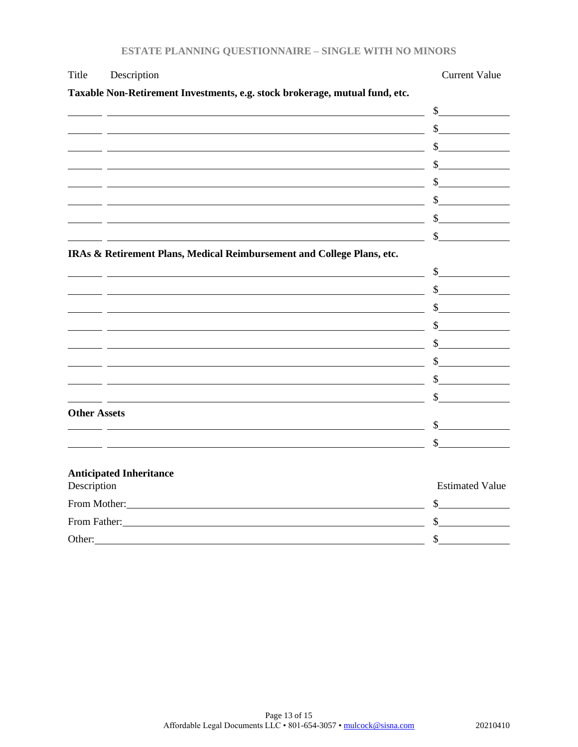| <b>ESTATE PLANNING QUESTIONNAIRE - SINGLE WITH NO MINORS</b> |
|--------------------------------------------------------------|
|--------------------------------------------------------------|

| Title               | Description                                                                                                                                                                                                                    | <b>Current Value</b>        |
|---------------------|--------------------------------------------------------------------------------------------------------------------------------------------------------------------------------------------------------------------------------|-----------------------------|
|                     | Taxable Non-Retirement Investments, e.g. stock brokerage, mutual fund, etc.                                                                                                                                                    |                             |
|                     |                                                                                                                                                                                                                                |                             |
|                     |                                                                                                                                                                                                                                | $\frac{1}{2}$               |
|                     | <u> 1989 - Johann Barn, amerikansk politiker (d. 1989)</u>                                                                                                                                                                     | $\frac{\text{S}}{\text{S}}$ |
|                     | <u> 1989 - Johann Barbara, martin amerikan basar dan berasal dan berasal dalam basar dalam basar dalam basar dala</u>                                                                                                          | $\frac{\text{S}}{\text{S}}$ |
|                     |                                                                                                                                                                                                                                | $\frac{\sqrt{2}}{2}$        |
|                     |                                                                                                                                                                                                                                |                             |
|                     |                                                                                                                                                                                                                                |                             |
|                     |                                                                                                                                                                                                                                |                             |
|                     | IRAs & Retirement Plans, Medical Reimbursement and College Plans, etc.                                                                                                                                                         |                             |
|                     |                                                                                                                                                                                                                                |                             |
|                     |                                                                                                                                                                                                                                | $\frac{\text{S}}{\text{S}}$ |
|                     |                                                                                                                                                                                                                                |                             |
|                     | the contract of the contract of the contract of the contract of the contract of the contract of the contract of                                                                                                                | $\frac{\sqrt{2}}{2}$        |
|                     | <u> 1980 - Johann Barn, fransk politik (f. 1980)</u>                                                                                                                                                                           | $\frac{1}{2}$               |
|                     | <u> 1999 - Johann Barn, fransk politik (d. 1989)</u>                                                                                                                                                                           | $\frac{\sqrt{2}}{2}$        |
|                     | <u> 1980 - Johann Barbara, martin amerikan basar dan berasal dalam basa dalam basar dalam basar dalam basar dala</u>                                                                                                           | $\sim$                      |
|                     |                                                                                                                                                                                                                                |                             |
| <b>Other Assets</b> |                                                                                                                                                                                                                                |                             |
|                     | <u> 1988 - Johann Barnett, fransk konge og det for de forskellige og det forskellige og det forskellige og det f</u>                                                                                                           | $\mathbb{S}$                |
|                     |                                                                                                                                                                                                                                |                             |
| Description         | <b>Anticipated Inheritance</b>                                                                                                                                                                                                 | <b>Estimated Value</b>      |
|                     | From Mother: New York Contract the Mother Service Contract of the Mother Service Contract of the Mother Service Contract of the Mother Service Contract of the Mother Service Contract of the Mother Service Contract of the M | $\frac{\text{S}}{\text{S}}$ |
|                     | From Father: No. 1996. The Second State of the Second State of the Second State of the Second State of the Second State of the Second State of the Second State of the Second State of the Second State of the Second State of | $\frac{\text{S}}{\text{S}}$ |
| Other:              |                                                                                                                                                                                                                                | $\mathcal{S}$               |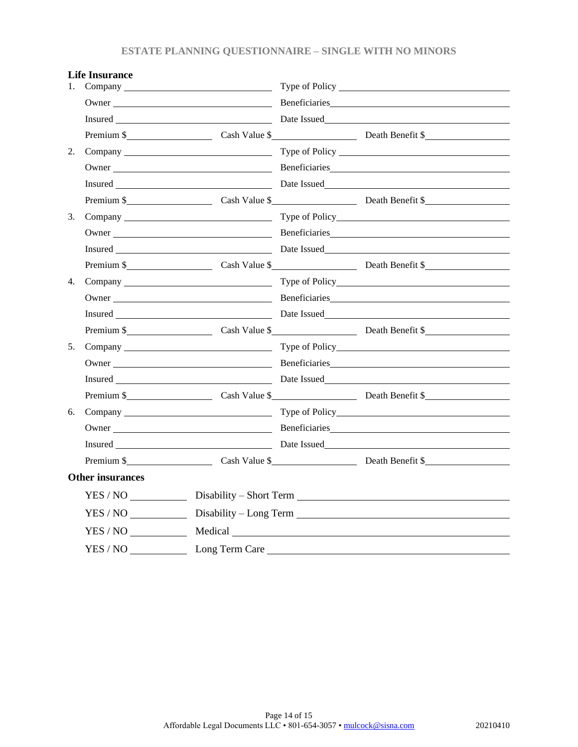| 1. | Life insurance          |                |                                                                                                                                   |  |
|----|-------------------------|----------------|-----------------------------------------------------------------------------------------------------------------------------------|--|
|    |                         |                |                                                                                                                                   |  |
|    |                         |                |                                                                                                                                   |  |
|    |                         |                | Premium \$                                                                                                                        |  |
| 2. |                         |                |                                                                                                                                   |  |
|    |                         |                |                                                                                                                                   |  |
|    |                         |                |                                                                                                                                   |  |
|    |                         |                | Premium \$ Cash Value \$ Cash Value \$ Death Benefit \$                                                                           |  |
| 3. |                         |                |                                                                                                                                   |  |
|    |                         |                | Owner Beneficiaries                                                                                                               |  |
|    |                         |                |                                                                                                                                   |  |
|    |                         |                | Premium \$                                                                                                                        |  |
| 4. |                         |                |                                                                                                                                   |  |
|    |                         |                | Owner Neumann Beneficiaries <b>Example 2018</b> Reneficiaries <b>Example 2018</b> Reneficiaries <b>Example 2018</b> Reneficiaries |  |
|    |                         |                |                                                                                                                                   |  |
|    |                         |                | Premium \$                                                                                                                        |  |
| 5. |                         |                | Company Type of Policy                                                                                                            |  |
|    |                         |                | Owner Neumann Beneficiaries <b>Example 2018</b> Beneficiaries <b>Example 2018</b> Beneficiaries <b>Example 2018</b> Beneficiaries |  |
|    |                         |                |                                                                                                                                   |  |
|    |                         |                | Premium \$                                                                                                                        |  |
| 6. |                         |                |                                                                                                                                   |  |
|    |                         |                |                                                                                                                                   |  |
|    |                         |                |                                                                                                                                   |  |
|    |                         |                | Premium \$                                                                                                                        |  |
|    | <b>Other insurances</b> |                |                                                                                                                                   |  |
|    |                         |                |                                                                                                                                   |  |
|    | YES / NO                |                |                                                                                                                                   |  |
|    | YES / NO                |                |                                                                                                                                   |  |
|    | YES / NO                | Long Term Care |                                                                                                                                   |  |

## **Life Insurance**